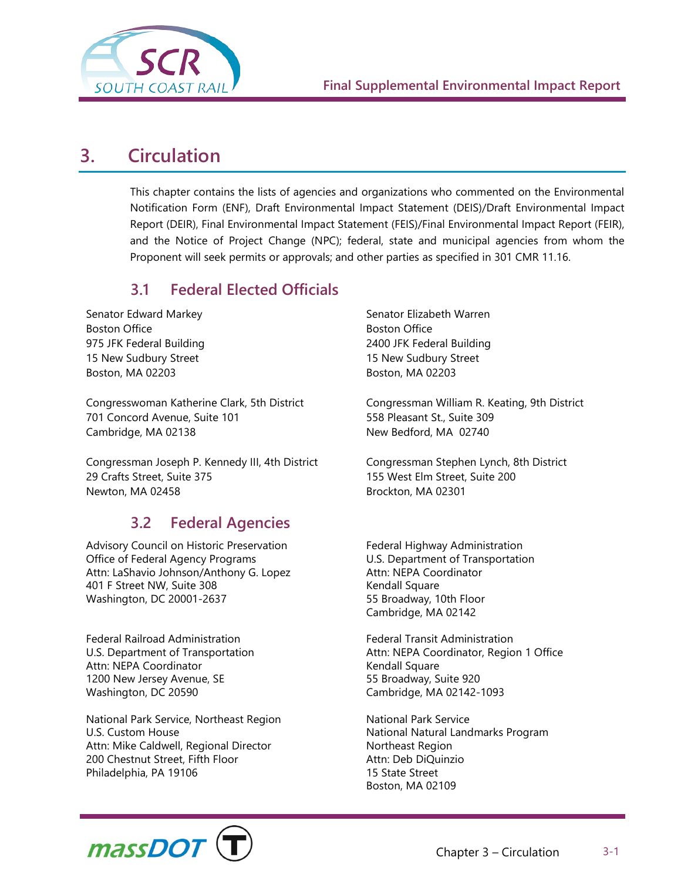

# **3. Circulation**

This chapter contains the lists of agencies and organizations who commented on the Environmental Notification Form (ENF), Draft Environmental Impact Statement (DEIS)/Draft Environmental Impact Report (DEIR), Final Environmental Impact Statement (FEIS)/Final Environmental Impact Report (FEIR), and the Notice of Project Change (NPC); federal, state and municipal agencies from whom the Proponent will seek permits or approvals; and other parties as specified in 301 CMR 11.16.

## **3.1 Federal Elected Officials**

Senator Edward Markey Boston Office 975 JFK Federal Building 15 New Sudbury Street Boston, MA 02203

Congresswoman Katherine Clark, 5th District 701 Concord Avenue, Suite 101 Cambridge, MA 02138

Congressman Joseph P. Kennedy III, 4th District 29 Crafts Street, Suite 375 Newton, MA 02458

## **3.2 Federal Agencies**

Advisory Council on Historic Preservation Office of Federal Agency Programs Attn: LaShavio Johnson/Anthony G. Lopez 401 F Street NW, Suite 308 Washington, DC 20001-2637

Federal Railroad Administration U.S. Department of Transportation Attn: NEPA Coordinator 1200 New Jersey Avenue, SE Washington, DC 20590

National Park Service, Northeast Region U.S. Custom House Attn: Mike Caldwell, Regional Director 200 Chestnut Street, Fifth Floor Philadelphia, PA 19106

Senator Elizabeth Warren Boston Office 2400 JFK Federal Building 15 New Sudbury Street Boston, MA 02203

Congressman William R. Keating, 9th District 558 Pleasant St., Suite 309 New Bedford, MA 02740

Congressman Stephen Lynch, 8th District 155 West Elm Street, Suite 200 Brockton, MA 02301

Federal Highway Administration U.S. Department of Transportation Attn: NEPA Coordinator Kendall Square 55 Broadway, 10th Floor Cambridge, MA 02142

Federal Transit Administration Attn: NEPA Coordinator, Region 1 Office Kendall Square 55 Broadway, Suite 920 Cambridge, MA 02142-1093

National Park Service National Natural Landmarks Program Northeast Region Attn: Deb DiQuinzio 15 State Street Boston, MA 02109

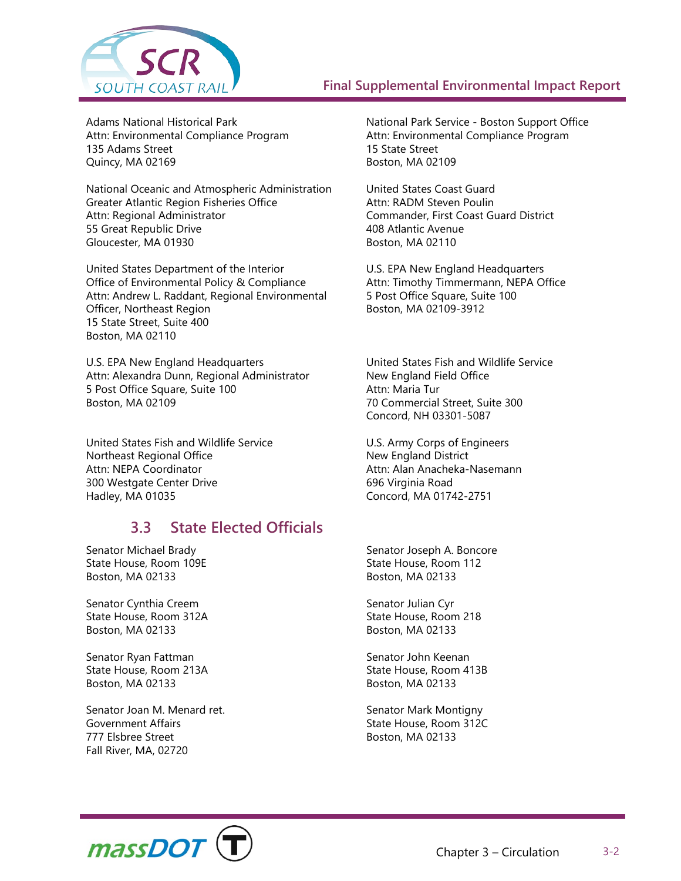

Adams National Historical Park Attn: Environmental Compliance Program 135 Adams Street Quincy, MA 02169

National Oceanic and Atmospheric Administration Greater Atlantic Region Fisheries Office Attn: Regional Administrator 55 Great Republic Drive Gloucester, MA 01930

United States Department of the Interior Office of Environmental Policy & Compliance Attn: Andrew L. Raddant, Regional Environmental Officer, Northeast Region 15 State Street, Suite 400 Boston, MA 02110

U.S. EPA New England Headquarters Attn: Alexandra Dunn, Regional Administrator 5 Post Office Square, Suite 100 Boston, MA 02109

United States Fish and Wildlife Service Northeast Regional Office Attn: NEPA Coordinator 300 Westgate Center Drive Hadley, MA 01035

## **3.3 State Elected Officials**

Senator Michael Brady State House, Room 109E Boston, MA 02133

Senator Cynthia Creem State House, Room 312A Boston, MA 02133

Senator Ryan Fattman State House, Room 213A Boston, MA 02133

Senator Joan M. Menard ret. Government Affairs 777 Elsbree Street Fall River, MA, 02720

National Park Service - Boston Support Office Attn: Environmental Compliance Program 15 State Street Boston, MA 02109

United States Coast Guard Attn: RADM Steven Poulin Commander, First Coast Guard District 408 Atlantic Avenue Boston, MA 02110

U.S. EPA New England Headquarters Attn: Timothy Timmermann, NEPA Office 5 Post Office Square, Suite 100 Boston, MA 02109-3912

United States Fish and Wildlife Service New England Field Office Attn: Maria Tur 70 Commercial Street, Suite 300 Concord, NH 03301-5087

U.S. Army Corps of Engineers New England District Attn: Alan Anacheka-Nasemann 696 Virginia Road Concord, MA 01742-2751

Senator Joseph A. Boncore State House, Room 112 Boston, MA 02133

Senator Julian Cyr State House, Room 218 Boston, MA 02133

Senator John Keenan State House, Room 413B Boston, MA 02133

Senator Mark Montigny State House, Room 312C Boston, MA 02133

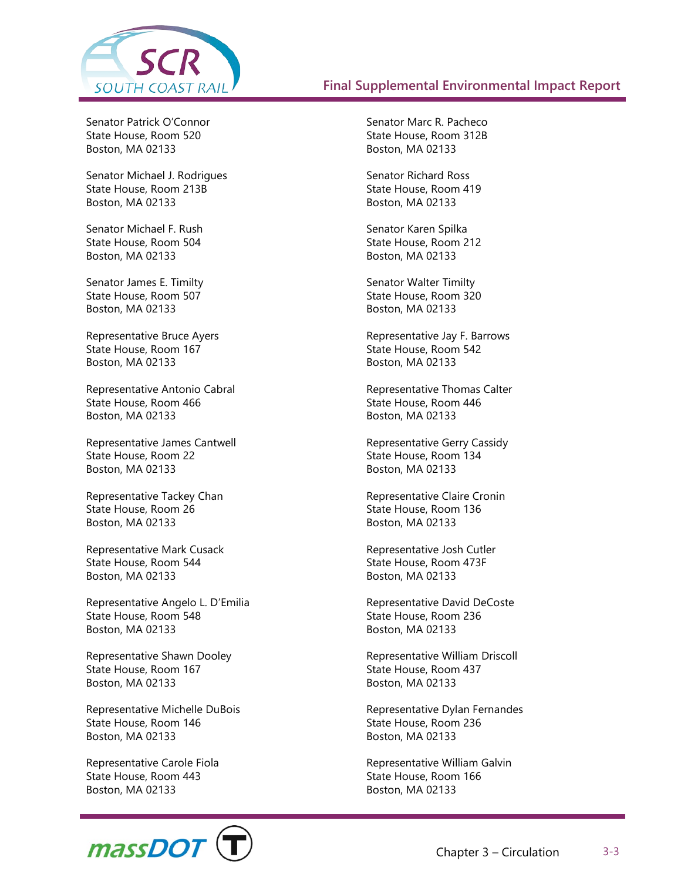

Senator Patrick O'Connor State House, Room 520 Boston, MA 02133

Senator Michael J. Rodrigues State House, Room 213B Boston, MA 02133

Senator Michael F. Rush State House, Room 504 Boston, MA 02133

Senator James E. Timilty State House, Room 507 Boston, MA 02133

Representative Bruce Ayers State House, Room 167 Boston, MA 02133

Representative Antonio Cabral State House, Room 466 Boston, MA 02133

Representative James Cantwell State House, Room 22 Boston, MA 02133

Representative Tackey Chan State House, Room 26 Boston, MA 02133

Representative Mark Cusack State House, Room 544 Boston, MA 02133

Representative Angelo L. D'Emilia State House, Room 548 Boston, MA 02133

Representative Shawn Dooley State House, Room 167 Boston, MA 02133

Representative Michelle DuBois State House, Room 146 Boston, MA 02133

Representative Carole Fiola State House, Room 443 Boston, MA 02133



Senator Marc R. Pacheco State House, Room 312B Boston, MA 02133

Senator Richard Ross State House, Room 419 Boston, MA 02133

Senator Karen Spilka State House, Room 212 Boston, MA 02133

Senator Walter Timilty State House, Room 320 Boston, MA 02133

Representative Jay F. Barrows State House, Room 542 Boston, MA 02133

Representative Thomas Calter State House, Room 446 Boston, MA 02133

Representative Gerry Cassidy State House, Room 134 Boston, MA 02133

Representative Claire Cronin State House, Room 136 Boston, MA 02133

Representative Josh Cutler State House, Room 473F Boston, MA 02133

Representative David DeCoste State House, Room 236 Boston, MA 02133

Representative William Driscoll State House, Room 437 Boston, MA 02133

Representative Dylan Fernandes State House, Room 236 Boston, MA 02133

Representative William Galvin State House, Room 166 Boston, MA 02133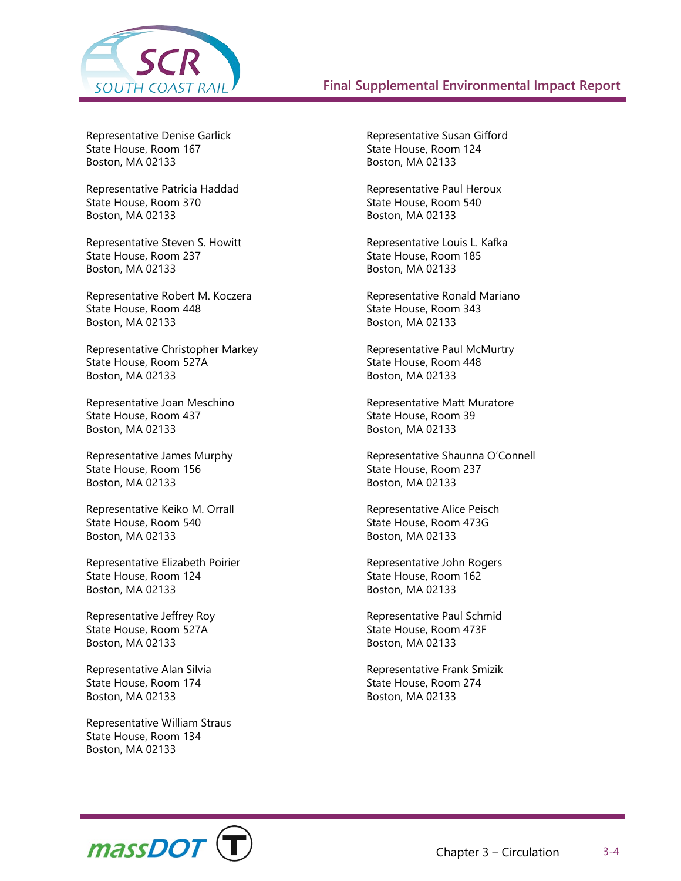

Representative Denise Garlick State House, Room 167 Boston, MA 02133

Representative Patricia Haddad State House, Room 370 Boston, MA 02133

Representative Steven S. Howitt State House, Room 237 Boston, MA 02133

Representative Robert M. Koczera State House, Room 448 Boston, MA 02133

Representative Christopher Markey State House, Room 527A Boston, MA 02133

Representative Joan Meschino State House, Room 437 Boston, MA 02133

Representative James Murphy State House, Room 156 Boston, MA 02133

Representative Keiko M. Orrall State House, Room 540 Boston, MA 02133

Representative Elizabeth Poirier State House, Room 124 Boston, MA 02133

Representative Jeffrey Roy State House, Room 527A Boston, MA 02133

Representative Alan Silvia State House, Room 174 Boston, MA 02133

Representative William Straus State House, Room 134 Boston, MA 02133

Representative Susan Gifford State House, Room 124 Boston, MA 02133

Representative Paul Heroux State House, Room 540 Boston, MA 02133

Representative Louis L. Kafka State House, Room 185 Boston, MA 02133

Representative Ronald Mariano State House, Room 343 Boston, MA 02133

Representative Paul McMurtry State House, Room 448 Boston, MA 02133

Representative Matt Muratore State House, Room 39 Boston, MA 02133

Representative Shaunna O'Connell State House, Room 237 Boston, MA 02133

Representative Alice Peisch State House, Room 473G Boston, MA 02133

Representative John Rogers State House, Room 162 Boston, MA 02133

Representative Paul Schmid State House, Room 473F Boston, MA 02133

Representative Frank Smizik State House, Room 274 Boston, MA 02133

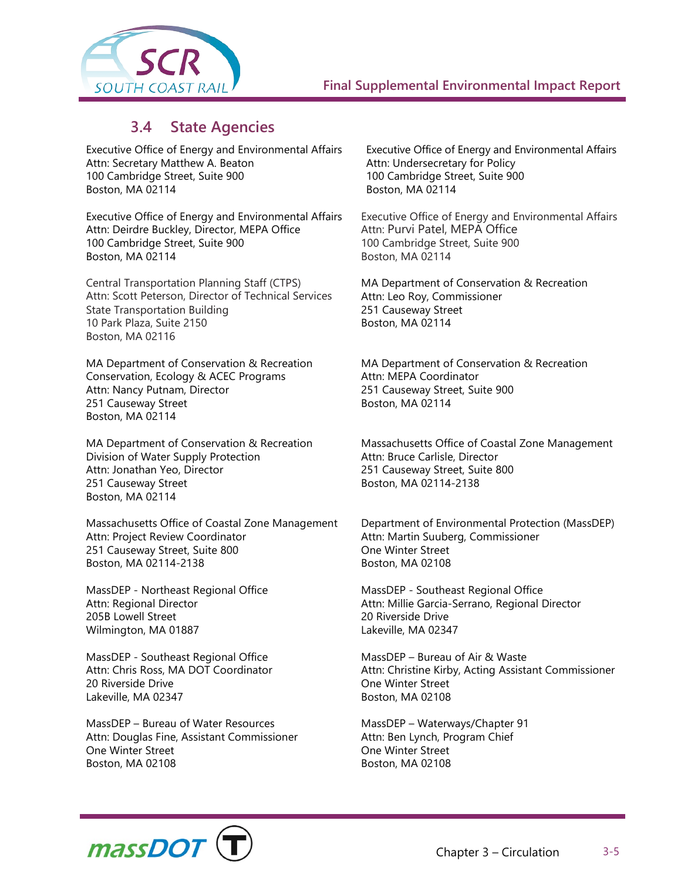

## **3.4 State Agencies**

Executive Office of Energy and Environmental Affairs Attn: Secretary Matthew A. Beaton 100 Cambridge Street, Suite 900 Boston, MA 02114

Executive Office of Energy and Environmental Affairs Attn: Deirdre Buckley, Director, MEPA Office 100 Cambridge Street, Suite 900 Boston, MA 02114

Central Transportation Planning Staff (CTPS) Attn: Scott Peterson, Director of Technical Services State Transportation Building 10 Park Plaza, Suite 2150 Boston, MA 02116

MA Department of Conservation & Recreation Conservation, Ecology & ACEC Programs Attn: Nancy Putnam, Director 251 Causeway Street Boston, MA 02114

MA Department of Conservation & Recreation Division of Water Supply Protection Attn: Jonathan Yeo, Director 251 Causeway Street Boston, MA 02114

Massachusetts Office of Coastal Zone Management Attn: Project Review Coordinator 251 Causeway Street, Suite 800 Boston, MA 02114-2138

MassDEP - Northeast Regional Office Attn: Regional Director 205B Lowell Street Wilmington, MA 01887

MassDEP - Southeast Regional Office Attn: Chris Ross, MA DOT Coordinator 20 Riverside Drive Lakeville, MA 02347

MassDEP – Bureau of Water Resources Attn: Douglas Fine, Assistant Commissioner One Winter Street Boston, MA 02108

Executive Office of Energy and Environmental Affairs Attn: Undersecretary for Policy 100 Cambridge Street, Suite 900 Boston, MA 02114

Executive Office of Energy and Environmental Affairs Attn: Purvi Patel, MEPA Office 100 Cambridge Street, Suite 900 Boston, MA 02114

MA Department of Conservation & Recreation Attn: Leo Roy, Commissioner 251 Causeway Street Boston, MA 02114

MA Department of Conservation & Recreation Attn: MEPA Coordinator 251 Causeway Street, Suite 900 Boston, MA 02114

Massachusetts Office of Coastal Zone Management Attn: Bruce Carlisle, Director 251 Causeway Street, Suite 800 Boston, MA 02114-2138

Department of Environmental Protection (MassDEP) Attn: Martin Suuberg, Commissioner One Winter Street Boston, MA 02108

MassDEP - Southeast Regional Office Attn: Millie Garcia-Serrano, Regional Director 20 Riverside Drive Lakeville, MA 02347

MassDEP – Bureau of Air & Waste Attn: Christine Kirby, Acting Assistant Commissioner One Winter Street Boston, MA 02108

MassDEP – Waterways/Chapter 91 Attn: Ben Lynch, Program Chief One Winter Street Boston, MA 02108

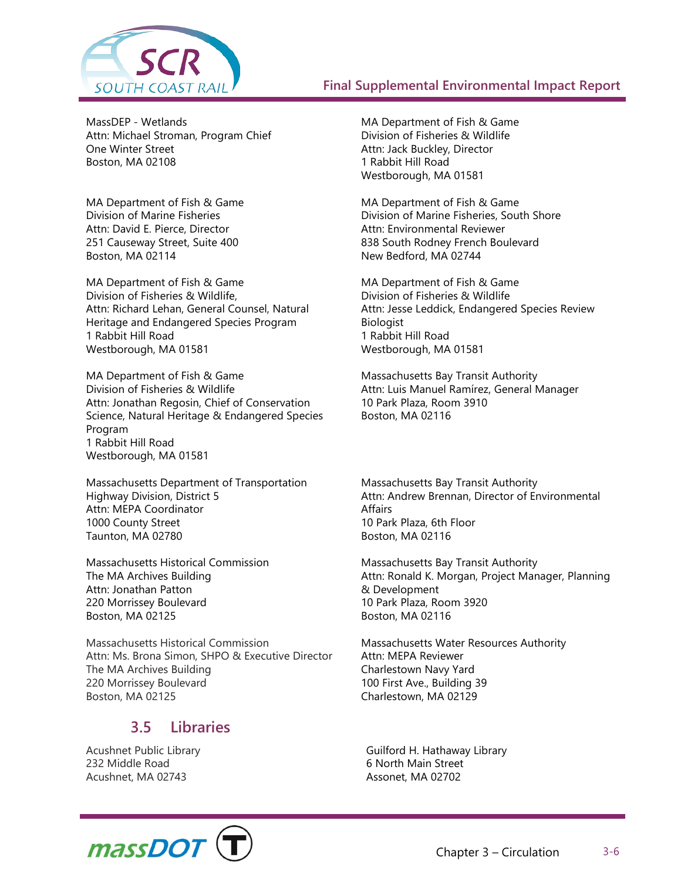

MassDEP - Wetlands Attn: Michael Stroman, Program Chief One Winter Street Boston, MA 02108

MA Department of Fish & Game Division of Marine Fisheries Attn: David E. Pierce, Director 251 Causeway Street, Suite 400 Boston, MA 02114

MA Department of Fish & Game Division of Fisheries & Wildlife, Attn: Richard Lehan, General Counsel, Natural Heritage and Endangered Species Program 1 Rabbit Hill Road Westborough, MA 01581

MA Department of Fish & Game Division of Fisheries & Wildlife Attn: Jonathan Regosin, Chief of Conservation Science, Natural Heritage & Endangered Species Program 1 Rabbit Hill Road Westborough, MA 01581

Massachusetts Department of Transportation Highway Division, District 5 Attn: MEPA Coordinator 1000 County Street Taunton, MA 02780

Massachusetts Historical Commission The MA Archives Building Attn: Jonathan Patton 220 Morrissey Boulevard Boston, MA 02125

Massachusetts Historical Commission Attn: Ms. Brona Simon, SHPO & Executive Director The MA Archives Building 220 Morrissey Boulevard Boston, MA 02125

## **3.5 Libraries**

Acushnet Public Library 232 Middle Road Acushnet, MA 02743

MA Department of Fish & Game Division of Fisheries & Wildlife Attn: Jack Buckley, Director 1 Rabbit Hill Road Westborough, MA 01581

MA Department of Fish & Game Division of Marine Fisheries, South Shore Attn: Environmental Reviewer 838 South Rodney French Boulevard New Bedford, MA 02744

MA Department of Fish & Game Division of Fisheries & Wildlife Attn: Jesse Leddick, Endangered Species Review Biologist 1 Rabbit Hill Road Westborough, MA 01581

Massachusetts Bay Transit Authority Attn: Luis Manuel Ramírez, General Manager 10 Park Plaza, Room 3910 Boston, MA 02116

Massachusetts Bay Transit Authority Attn: Andrew Brennan, Director of Environmental **Affairs** 10 Park Plaza, 6th Floor Boston, MA 02116

Massachusetts Bay Transit Authority Attn: Ronald K. Morgan, Project Manager, Planning & Development 10 Park Plaza, Room 3920 Boston, MA 02116

Massachusetts Water Resources Authority Attn: MEPA Reviewer Charlestown Navy Yard 100 First Ave., Building 39 Charlestown, MA 02129

Guilford H. Hathaway Library 6 North Main Street Assonet, MA 02702

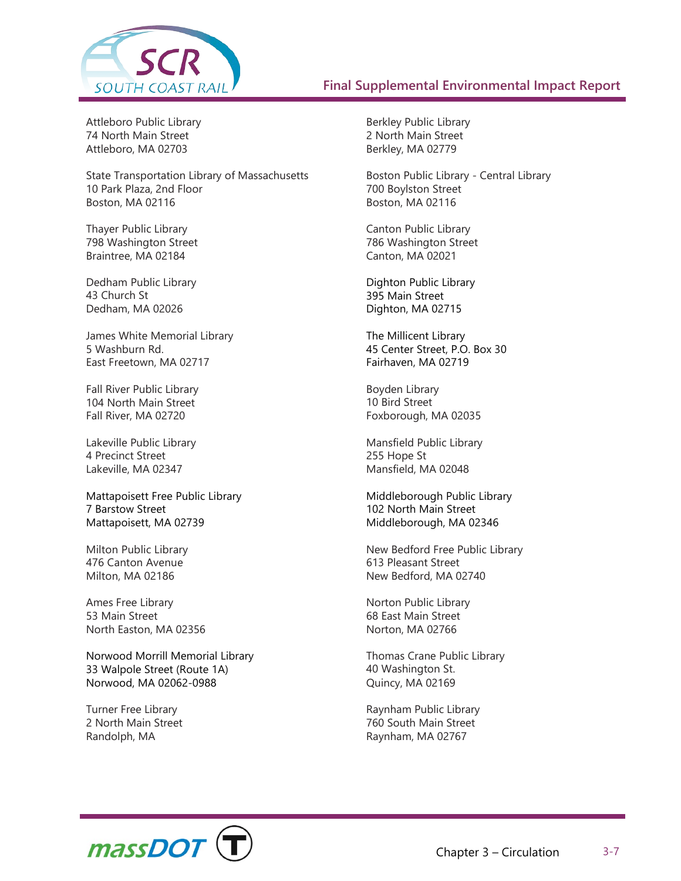

Attleboro Public Library 74 North Main Street Attleboro, MA 02703

State Transportation Library of Massachusetts 10 Park Plaza, 2nd Floor Boston, MA 02116

Thayer Public Library 798 Washington Street Braintree, MA 02184

Dedham Public Library 43 Church St Dedham, MA 02026

James White Memorial Library 5 Washburn Rd. East Freetown, MA 02717

Fall River Public Library 104 North Main Street Fall River, MA 02720

Lakeville Public Library 4 Precinct Street Lakeville, MA 02347

Mattapoisett Free Public Library 7 Barstow Street Mattapoisett, MA 02739

Milton Public Library 476 Canton Avenue Milton, MA 02186

Ames Free Library 53 Main Street North Easton, MA 02356

Norwood Morrill Memorial Library 33 Walpole Street (Route 1A) Norwood, MA 02062-0988

Turner Free Library 2 North Main Street Randolph, MA

Berkley Public Library 2 North Main Street Berkley, MA 02779

Boston Public Library - Central Library 700 Boylston Street Boston, MA 02116

Canton Public Library 786 Washington Street Canton, MA 02021

Dighton Public Library 395 Main Street Dighton, MA 02715

The Millicent Library 45 Center Street, P.O. Box 30 Fairhaven, MA 02719

Boyden Library 10 Bird Street Foxborough, MA 02035

Mansfield Public Library 255 Hope St Mansfield, MA 02048

Middleborough Public Library 102 North Main Street Middleborough, MA 02346

New Bedford Free Public Library 613 Pleasant Street New Bedford, MA 02740

Norton Public Library 68 East Main Street Norton, MA 02766

Thomas Crane Public Library 40 Washington St. Quincy, MA 02169

Raynham Public Library 760 South Main Street Raynham, MA 02767

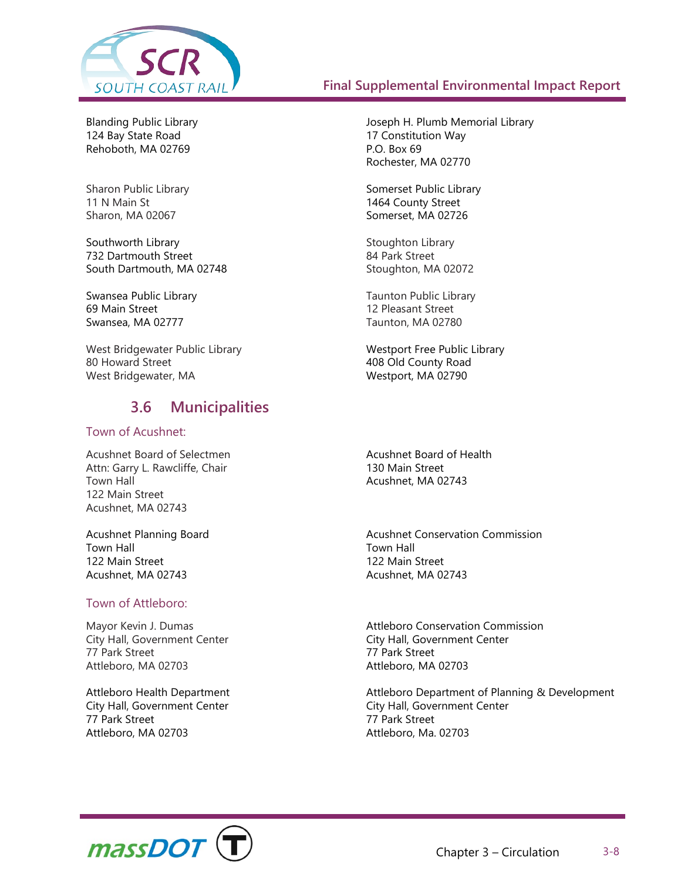

Blanding Public Library 124 Bay State Road Rehoboth, MA 02769

Sharon Public Library 11 N Main St Sharon, MA 02067

Southworth Library 732 Dartmouth Street South Dartmouth, MA 02748

Swansea Public Library 69 Main Street Swansea, MA 02777

West Bridgewater Public Library 80 Howard Street West Bridgewater, MA

## **3.6 Municipalities**

#### Town of Acushnet:

Acushnet Board of Selectmen Attn: Garry L. Rawcliffe, Chair Town Hall 122 Main Street Acushnet, MA 02743

Acushnet Planning Board Town Hall 122 Main Street Acushnet, MA 02743

#### Town of Attleboro:

Mayor Kevin J. Dumas City Hall, Government Center 77 Park Street Attleboro, MA 02703

Attleboro Health Department City Hall, Government Center 77 Park Street Attleboro, MA 02703

Joseph H. Plumb Memorial Library 17 Constitution Way P.O. Box 69 Rochester, MA 02770

Somerset Public Library 1464 County Street Somerset, MA 02726

Stoughton Library 84 Park Street Stoughton, MA 02072

Taunton Public Library 12 Pleasant Street Taunton, MA 02780

Westport Free Public Library 408 Old County Road Westport, MA 02790

Acushnet Board of Health 130 Main Street Acushnet, MA 02743

Acushnet Conservation Commission Town Hall 122 Main Street Acushnet, MA 02743

Attleboro Conservation Commission City Hall, Government Center 77 Park Street Attleboro, MA 02703

Attleboro Department of Planning & Development City Hall, Government Center 77 Park Street Attleboro, Ma. 02703

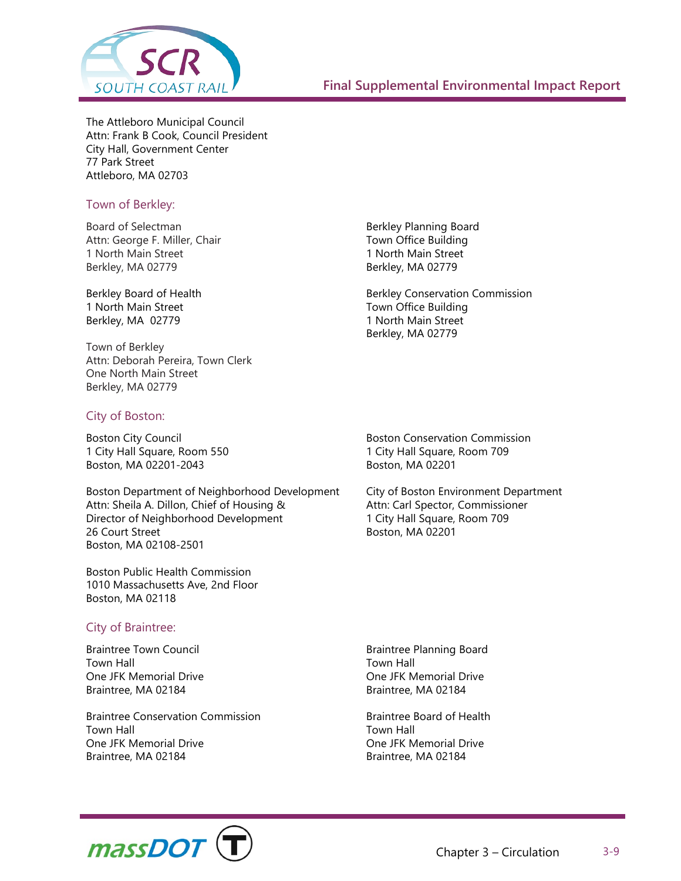

The Attleboro Municipal Council Attn: Frank B Cook, Council President City Hall, Government Center 77 Park Street Attleboro, MA 02703

#### Town of Berkley:

Board of Selectman Attn: George F. Miller, Chair 1 North Main Street Berkley, MA 02779

Berkley Board of Health 1 North Main Street Berkley, MA 02779

Town of Berkley Attn: Deborah Pereira, Town Clerk One North Main Street Berkley, MA 02779

#### City of Boston:

Boston City Council 1 City Hall Square, Room 550 Boston, MA 02201-2043

Boston Department of Neighborhood Development Attn: Sheila A. Dillon, Chief of Housing & Director of Neighborhood Development 26 Court Street Boston, MA 02108-2501

Boston Public Health Commission 1010 Massachusetts Ave, 2nd Floor Boston, MA 02118

#### City of Braintree:

Braintree Town Council Town Hall One JFK Memorial Drive Braintree, MA 02184

Braintree Conservation Commission Town Hall One JFK Memorial Drive Braintree, MA 02184

Berkley Planning Board Town Office Building 1 North Main Street Berkley, MA 02779

Berkley Conservation Commission Town Office Building 1 North Main Street Berkley, MA 02779

Boston Conservation Commission 1 City Hall Square, Room 709 Boston, MA 02201

City of Boston Environment Department Attn: Carl Spector, Commissioner 1 City Hall Square, Room 709 Boston, MA 02201

Braintree Planning Board Town Hall One JFK Memorial Drive Braintree, MA 02184

Braintree Board of Health Town Hall One JFK Memorial Drive Braintree, MA 02184

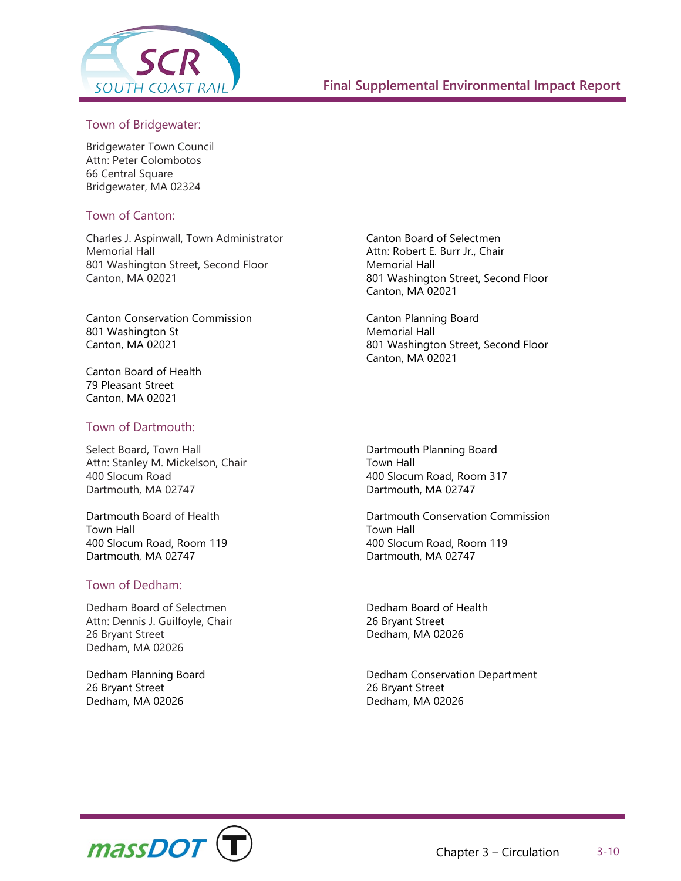

#### Town of Bridgewater:

Bridgewater Town Council Attn: Peter Colombotos 66 Central Square Bridgewater, MA 02324

#### Town of Canton:

Charles J. Aspinwall, Town Administrator Memorial Hall 801 Washington Street, Second Floor Canton, MA 02021

Canton Conservation Commission 801 Washington St Canton, MA 02021

Canton Board of Health 79 Pleasant Street Canton, MA 02021

#### Town of Dartmouth:

Select Board, Town Hall Attn: Stanley M. Mickelson, Chair 400 Slocum Road Dartmouth, MA 02747

Dartmouth Board of Health Town Hall 400 Slocum Road, Room 119 Dartmouth, MA 02747

#### Town of Dedham:

Dedham Board of Selectmen Attn: Dennis J. Guilfoyle, Chair 26 Bryant Street Dedham, MA 02026

Dedham Planning Board 26 Bryant Street Dedham, MA 02026

Canton Board of Selectmen Attn: Robert E. Burr Jr., Chair Memorial Hall 801 Washington Street, Second Floor Canton, MA 02021

Canton Planning Board Memorial Hall 801 Washington Street, Second Floor Canton, MA 02021

Dartmouth Planning Board Town Hall 400 Slocum Road, Room 317 Dartmouth, MA 02747

Dartmouth Conservation Commission Town Hall 400 Slocum Road, Room 119 Dartmouth, MA 02747

Dedham Board of Health 26 Bryant Street Dedham, MA 02026

Dedham Conservation Department 26 Bryant Street Dedham, MA 02026

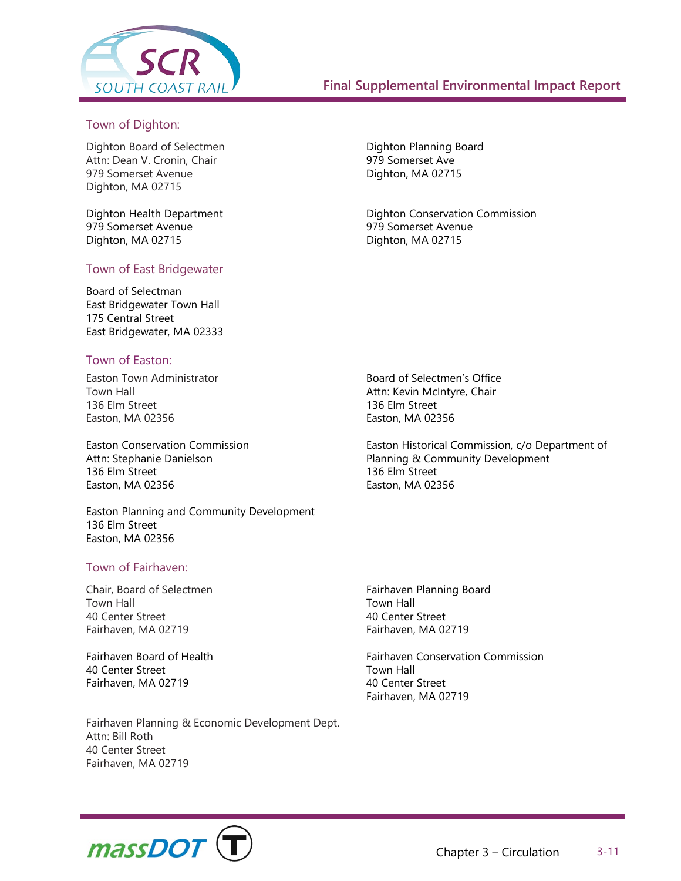

#### Town of Dighton:

Dighton Board of Selectmen Attn: Dean V. Cronin, Chair 979 Somerset Avenue Dighton, MA 02715

Dighton Health Department 979 Somerset Avenue Dighton, MA 02715

#### Town of East Bridgewater

Board of Selectman East Bridgewater Town Hall 175 Central Street East Bridgewater, MA 02333

#### Town of Easton:

Easton Town Administrator Town Hall 136 Elm Street Easton, MA 02356

Easton Conservation Commission Attn: Stephanie Danielson 136 Elm Street Easton, MA 02356

Easton Planning and Community Development 136 Elm Street Easton, MA 02356

#### Town of Fairhaven:

Chair, Board of Selectmen Town Hall 40 Center Street Fairhaven, MA 02719

Fairhaven Board of Health 40 Center Street Fairhaven, MA 02719

Fairhaven Planning & Economic Development Dept. Attn: Bill Roth 40 Center Street Fairhaven, MA 02719

Dighton Planning Board 979 Somerset Ave Dighton, MA 02715

Dighton Conservation Commission 979 Somerset Avenue Dighton, MA 02715

Board of Selectmen's Office Attn: Kevin McIntyre, Chair 136 Elm Street Easton, MA 02356

Easton Historical Commission, c/o Department of Planning & Community Development 136 Elm Street Easton, MA 02356

Fairhaven Planning Board Town Hall 40 Center Street Fairhaven, MA 02719

Fairhaven Conservation Commission Town Hall 40 Center Street Fairhaven, MA 02719

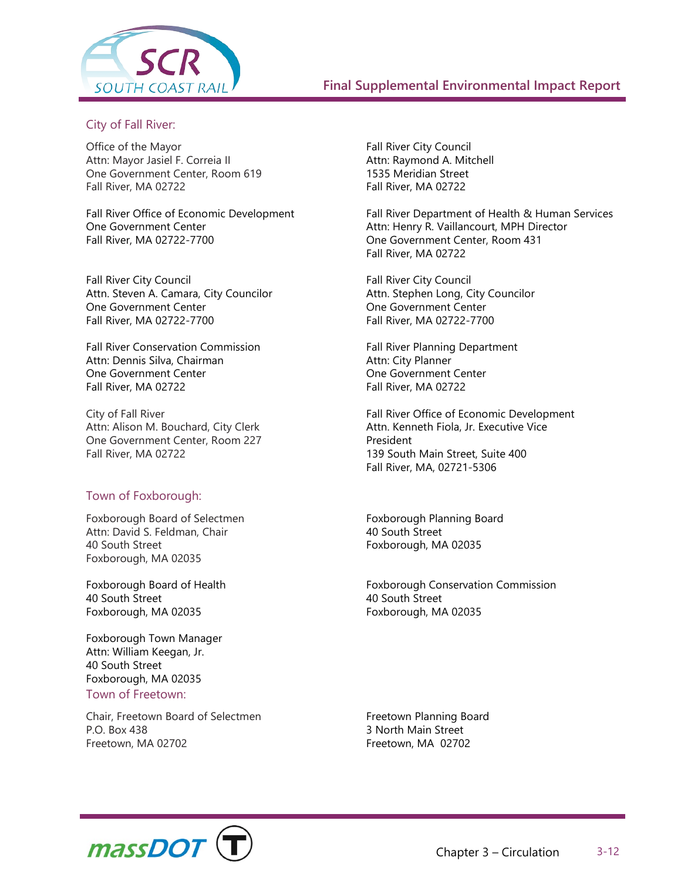

#### City of Fall River:

Office of the Mayor Attn: Mayor Jasiel F. Correia II One Government Center, Room 619 Fall River, MA 02722

Fall River Office of Economic Development One Government Center Fall River, MA 02722-7700

Fall River City Council Attn. Steven A. Camara, City Councilor One Government Center Fall River, MA 02722-7700

Fall River Conservation Commission Attn: Dennis Silva, Chairman One Government Center Fall River, MA 02722

City of Fall River Attn: Alison M. Bouchard, City Clerk One Government Center, Room 227 Fall River, MA 02722

#### Town of Foxborough:

Foxborough Board of Selectmen Attn: David S. Feldman, Chair 40 South Street Foxborough, MA 02035

Foxborough Board of Health 40 South Street Foxborough, MA 02035

Foxborough Town Manager Attn: William Keegan, Jr. 40 South Street Foxborough, MA 02035

#### Town of Freetown:

Chair, Freetown Board of Selectmen P.O. Box 438 Freetown, MA 02702

Fall River City Council Attn: Raymond A. Mitchell 1535 Meridian Street Fall River, MA 02722

Fall River Department of Health & Human Services Attn: Henry R. Vaillancourt, MPH Director One Government Center, Room 431 Fall River, MA 02722

Fall River City Council Attn. Stephen Long, City Councilor One Government Center Fall River, MA 02722-7700

Fall River Planning Department Attn: City Planner One Government Center Fall River, MA 02722

Fall River Office of Economic Development Attn. Kenneth Fiola, Jr. Executive Vice President 139 South Main Street, Suite 400 Fall River, MA, 02721-5306

Foxborough Planning Board 40 South Street Foxborough, MA 02035

Foxborough Conservation Commission 40 South Street Foxborough, MA 02035

Freetown Planning Board 3 North Main Street Freetown, MA 02702

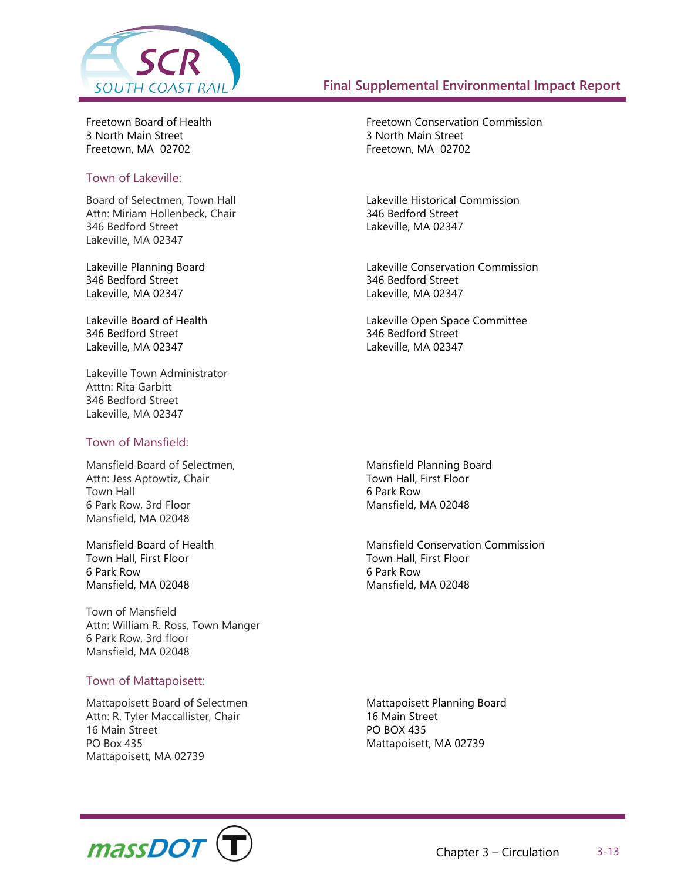

Freetown Board of Health 3 North Main Street Freetown, MA 02702

#### Town of Lakeville:

Board of Selectmen, Town Hall Attn: Miriam Hollenbeck, Chair 346 Bedford Street Lakeville, MA 02347

Lakeville Planning Board 346 Bedford Street Lakeville, MA 02347

Lakeville Board of Health 346 Bedford Street Lakeville, MA 02347

Lakeville Town Administrator Atttn: Rita Garbitt 346 Bedford Street Lakeville, MA 02347

#### Town of Mansfield:

Mansfield Board of Selectmen, Attn: Jess Aptowtiz, Chair Town Hall 6 Park Row, 3rd Floor Mansfield, MA 02048

Mansfield Board of Health Town Hall, First Floor 6 Park Row Mansfield, MA 02048

Town of Mansfield Attn: William R. Ross, Town Manger 6 Park Row, 3rd floor Mansfield, MA 02048

#### Town of Mattapoisett:

Mattapoisett Board of Selectmen Attn: R. Tyler Maccallister, Chair 16 Main Street PO Box 435 Mattapoisett, MA 02739

Freetown Conservation Commission 3 North Main Street Freetown, MA 02702

Lakeville Historical Commission 346 Bedford Street Lakeville, MA 02347

Lakeville Conservation Commission 346 Bedford Street Lakeville, MA 02347

Lakeville Open Space Committee 346 Bedford Street Lakeville, MA 02347

Mansfield Planning Board Town Hall, First Floor 6 Park Row Mansfield, MA 02048

Mansfield Conservation Commission Town Hall, First Floor 6 Park Row Mansfield, MA 02048

Mattapoisett Planning Board 16 Main Street PO BOX 435 Mattapoisett, MA 02739

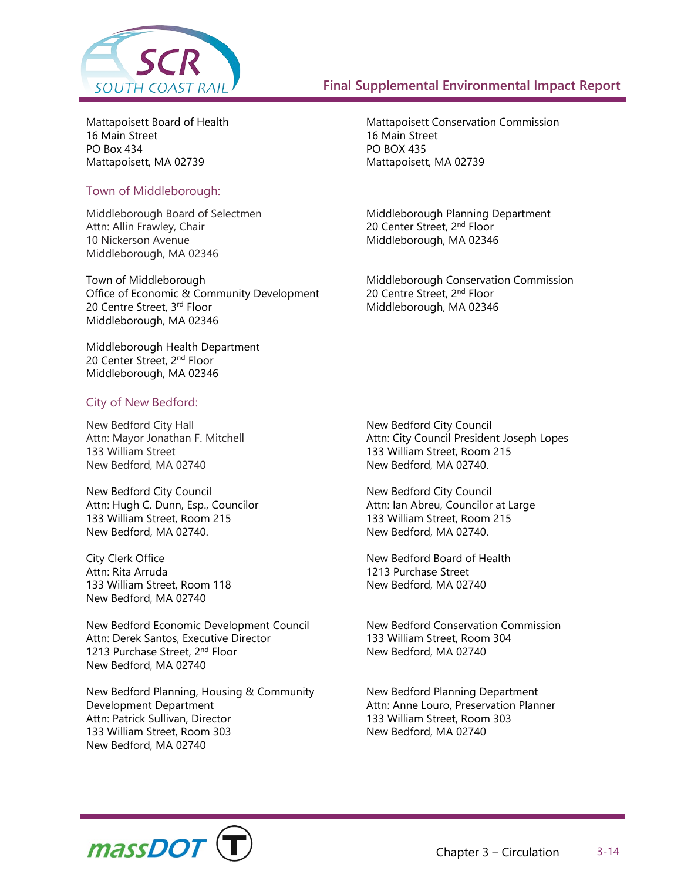

Mattapoisett Board of Health 16 Main Street PO Box 434 Mattapoisett, MA 02739

#### Town of Middleborough:

Middleborough Board of Selectmen Attn: Allin Frawley, Chair 10 Nickerson Avenue Middleborough, MA 02346

Town of Middleborough Office of Economic & Community Development 20 Centre Street, 3rd Floor Middleborough, MA 02346

Middleborough Health Department 20 Center Street, 2<sup>nd</sup> Floor Middleborough, MA 02346

#### City of New Bedford:

New Bedford City Hall Attn: Mayor Jonathan F. Mitchell 133 William Street New Bedford, MA 02740

New Bedford City Council Attn: Hugh C. Dunn, Esp., Councilor 133 William Street, Room 215 New Bedford, MA 02740.

City Clerk Office Attn: Rita Arruda 133 William Street, Room 118 New Bedford, MA 02740

New Bedford Economic Development Council Attn: Derek Santos, Executive Director 1213 Purchase Street, 2<sup>nd</sup> Floor New Bedford, MA 02740

New Bedford Planning, Housing & Community Development Department Attn: Patrick Sullivan, Director 133 William Street, Room 303 New Bedford, MA 02740

Mattapoisett Conservation Commission 16 Main Street PO BOX 435 Mattapoisett, MA 02739

Middleborough Planning Department 20 Center Street, 2nd Floor Middleborough, MA 02346

Middleborough Conservation Commission 20 Centre Street, 2nd Floor Middleborough, MA 02346

New Bedford City Council Attn: City Council President Joseph Lopes 133 William Street, Room 215 New Bedford, MA 02740.

New Bedford City Council Attn: Ian Abreu, Councilor at Large 133 William Street, Room 215 New Bedford, MA 02740.

New Bedford Board of Health 1213 Purchase Street New Bedford, MA 02740

New Bedford Conservation Commission 133 William Street, Room 304 New Bedford, MA 02740

New Bedford Planning Department Attn: Anne Louro, Preservation Planner 133 William Street, Room 303 New Bedford, MA 02740

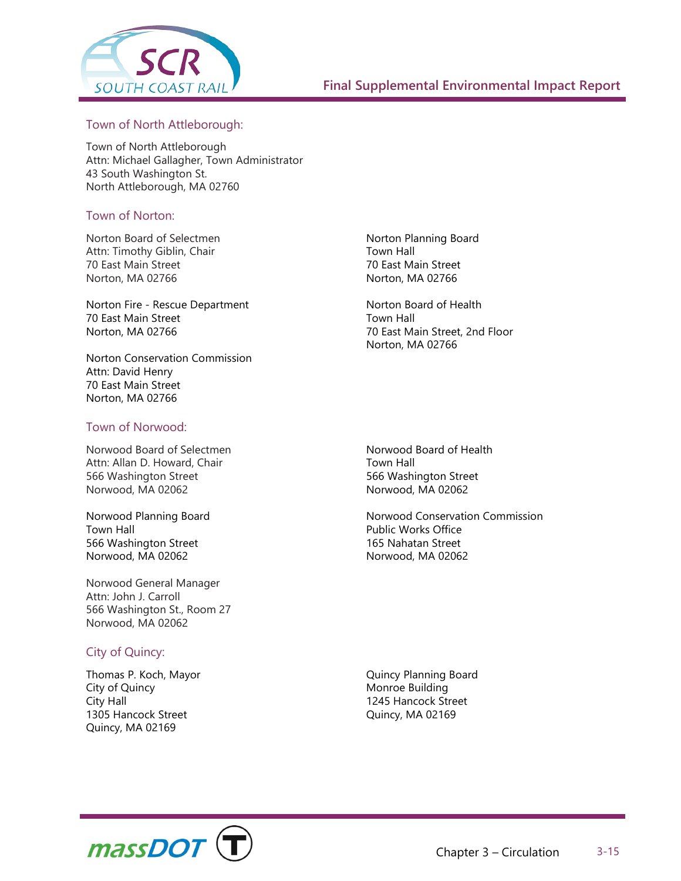

#### Town of North Attleborough:

Town of North Attleborough Attn: Michael Gallagher, Town Administrator 43 South Washington St. North Attleborough, MA 02760

#### Town of Norton:

Norton Board of Selectmen Attn: Timothy Giblin, Chair 70 East Main Street Norton, MA 02766

Norton Fire - Rescue Department 70 East Main Street Norton, MA 02766

Norton Conservation Commission Attn: David Henry 70 East Main Street Norton, MA 02766

#### Town of Norwood:

Norwood Board of Selectmen Attn: Allan D. Howard, Chair 566 Washington Street Norwood, MA 02062

Norwood Planning Board Town Hall 566 Washington Street Norwood, MA 02062

Norwood General Manager Attn: John J. Carroll 566 Washington St., Room 27 Norwood, MA 02062

#### City of Quincy:

Thomas P. Koch, Mayor City of Quincy City Hall 1305 Hancock Street Quincy, MA 02169

Norton Planning Board Town Hall 70 East Main Street Norton, MA 02766

Norton Board of Health Town Hall 70 East Main Street, 2nd Floor Norton, MA 02766

Norwood Board of Health Town Hall 566 Washington Street Norwood, MA 02062

Norwood Conservation Commission Public Works Office 165 Nahatan Street Norwood, MA 02062

Quincy Planning Board Monroe Building 1245 Hancock Street Quincy, MA 02169

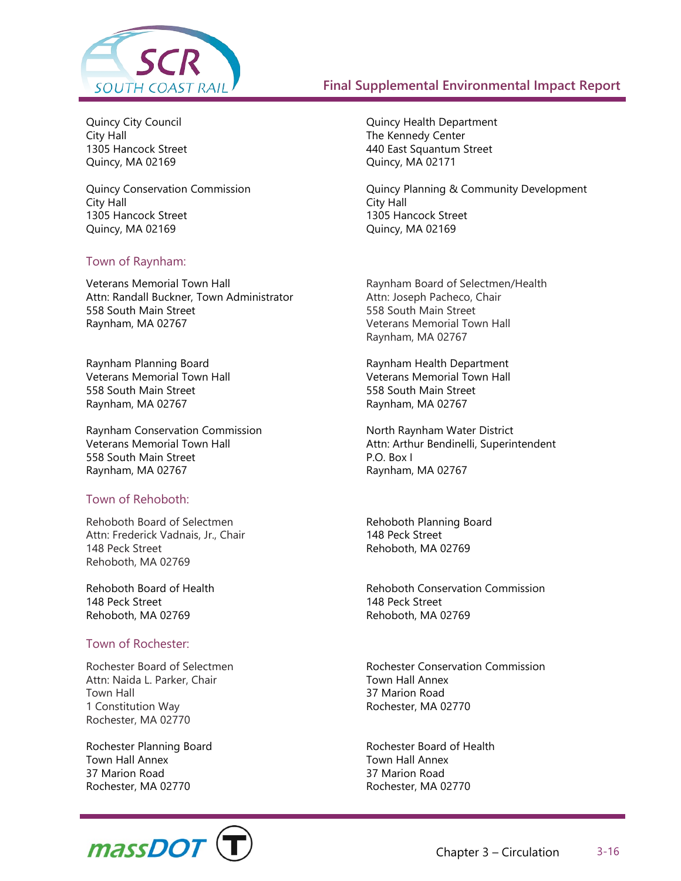

Quincy City Council City Hall 1305 Hancock Street Quincy, MA 02169

Quincy Conservation Commission City Hall 1305 Hancock Street Quincy, MA 02169

#### Town of Raynham:

Veterans Memorial Town Hall Attn: Randall Buckner, Town Administrator 558 South Main Street Raynham, MA 02767

Raynham Planning Board Veterans Memorial Town Hall 558 South Main Street Raynham, MA 02767

Raynham Conservation Commission Veterans Memorial Town Hall 558 South Main Street Raynham, MA 02767

#### Town of Rehoboth:

Rehoboth Board of Selectmen Attn: Frederick Vadnais, Jr., Chair 148 Peck Street Rehoboth, MA 02769

Rehoboth Board of Health 148 Peck Street Rehoboth, MA 02769

#### Town of Rochester:

Rochester Board of Selectmen Attn: Naida L. Parker, Chair Town Hall 1 Constitution Way Rochester, MA 02770

Rochester Planning Board Town Hall Annex 37 Marion Road Rochester, MA 02770



Quincy Health Department The Kennedy Center 440 East Squantum Street Quincy, MA 02171

Quincy Planning & Community Development City Hall 1305 Hancock Street Quincy, MA 02169

Raynham Board of Selectmen/Health Attn: Joseph Pacheco, Chair 558 South Main Street Veterans Memorial Town Hall Raynham, MA 02767

Raynham Health Department Veterans Memorial Town Hall 558 South Main Street Raynham, MA 02767

North Raynham Water District Attn: Arthur Bendinelli, Superintendent P.O. Box I Raynham, MA 02767

Rehoboth Planning Board 148 Peck Street Rehoboth, MA 02769

Rehoboth Conservation Commission 148 Peck Street Rehoboth, MA 02769

Rochester Conservation Commission Town Hall Annex 37 Marion Road Rochester, MA 02770

Rochester Board of Health Town Hall Annex 37 Marion Road Rochester, MA 02770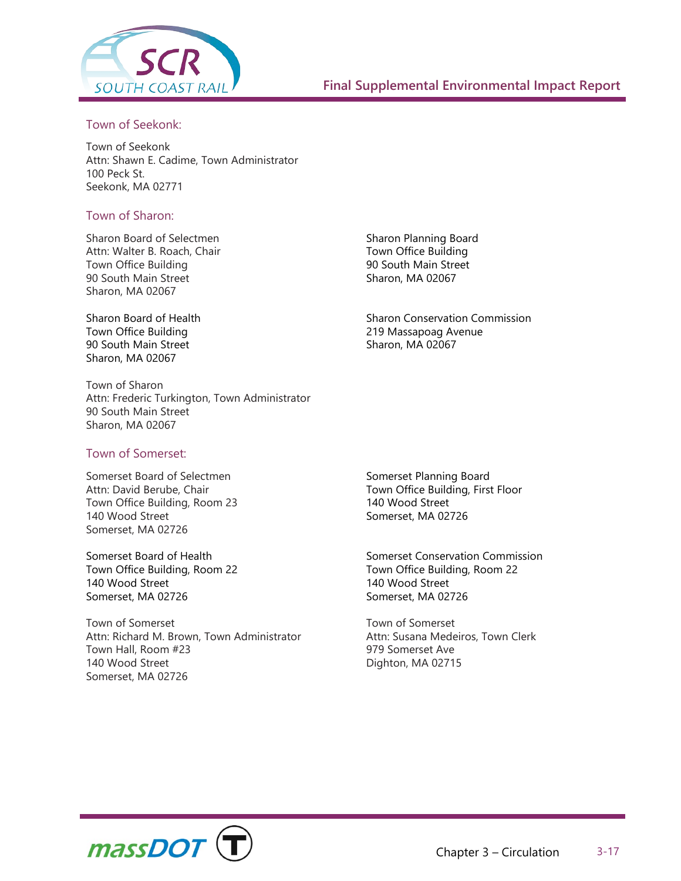

#### Town of Seekonk:

Town of Seekonk Attn: Shawn E. Cadime, Town Administrator 100 Peck St. Seekonk, MA 02771

#### Town of Sharon:

Sharon Board of Selectmen Attn: Walter B. Roach, Chair Town Office Building 90 South Main Street Sharon, MA 02067

Sharon Board of Health Town Office Building 90 South Main Street Sharon, MA 02067

Town of Sharon Attn: Frederic Turkington, Town Administrator 90 South Main Street Sharon, MA 02067

Town of Somerset:

Somerset Board of Selectmen Attn: David Berube, Chair Town Office Building, Room 23 140 Wood Street Somerset, MA 02726

Somerset Board of Health Town Office Building, Room 22 140 Wood Street Somerset, MA 02726

Town of Somerset Attn: Richard M. Brown, Town Administrator Town Hall, Room #23 140 Wood Street Somerset, MA 02726

Sharon Planning Board Town Office Building 90 South Main Street Sharon, MA 02067

Sharon Conservation Commission 219 Massapoag Avenue Sharon, MA 02067

Somerset Planning Board Town Office Building, First Floor 140 Wood Street Somerset, MA 02726

Somerset Conservation Commission Town Office Building, Room 22 140 Wood Street Somerset, MA 02726

Town of Somerset Attn: Susana Medeiros, Town Clerk 979 Somerset Ave Dighton, MA 02715

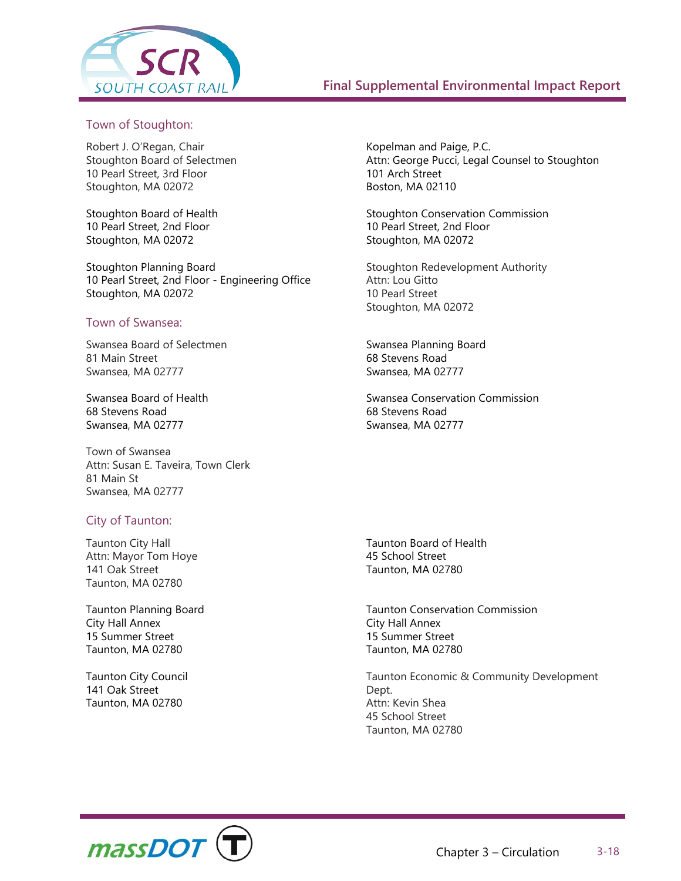

#### Town of Stoughton:

Robert J. O'Regan, Chair Stoughton Board of Selectmen 10 Pearl Street, 3rd Floor Stoughton, MA 02072

Stoughton Board of Health 10 Pearl Street, 2nd Floor Stoughton, MA 02072

Stoughton Planning Board 10 Pearl Street, 2nd Floor - Engineering Office Stoughton, MA 02072

#### Town of Swansea:

Swansea Board of Selectmen 81 Main Street Swansea, MA 02777

Swansea Board of Health 68 Stevens Road Swansea, MA 02777

Town of Swansea Attn: Susan E. Taveira, Town Clerk 81 Main St Swansea, MA 02777

#### City of Taunton:

Taunton City Hall Attn: Mayor Tom Hoye 141 Oak Street Taunton, MA 02780

Taunton Planning Board City Hall Annex 15 Summer Street Taunton, MA 02780

Taunton City Council 141 Oak Street Taunton, MA 02780

Kopelman and Paige, P.C. Attn: George Pucci, Legal Counsel to Stoughton 101 Arch Street Boston, MA 02110

Stoughton Conservation Commission 10 Pearl Street, 2nd Floor Stoughton, MA 02072

Stoughton Redevelopment Authority Attn: Lou Gitto 10 Pearl Street Stoughton, MA 02072

Swansea Planning Board 68 Stevens Road Swansea, MA 02777

Swansea Conservation Commission 68 Stevens Road Swansea, MA 02777

Taunton Board of Health 45 School Street Taunton, MA 02780

Taunton Conservation Commission City Hall Annex 15 Summer Street Taunton, MA 02780

Taunton Economic & Community Development Dept. Attn: Kevin Shea 45 School Street Taunton, MA 02780

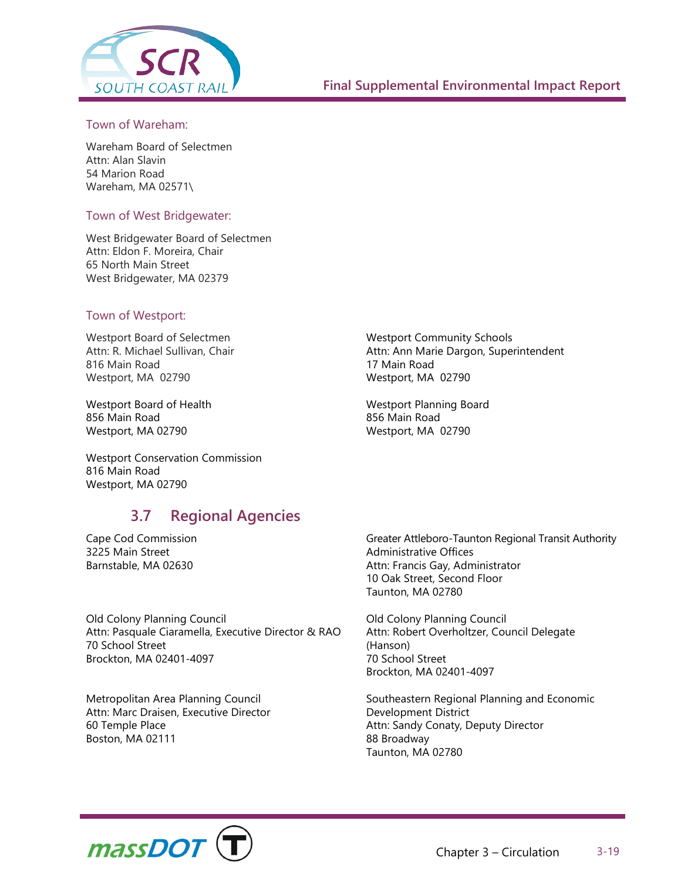

#### Town of Wareham:

Wareham Board of Selectmen Attn: Alan Slavin 54 Marion Road Wareham, MA 02571\

#### Town of West Bridgewater:

West Bridgewater Board of Selectmen Attn: Eldon F. Moreira, Chair 65 North Main Street West Bridgewater, MA 02379

#### Town of Westport:

Westport Board of Selectmen Attn: R. Michael Sullivan, Chair 816 Main Road Westport, MA 02790

Westport Board of Health 856 Main Road Westport, MA 02790

Westport Conservation Commission 816 Main Road Westport, MA 02790

## **3.7 Regional Agencies**

Cape Cod Commission 3225 Main Street Barnstable, MA 02630

Old Colony Planning Council Attn: Pasquale Ciaramella, Executive Director & RAO 70 School Street Brockton, MA 02401-4097

Metropolitan Area Planning Council Attn: Marc Draisen, Executive Director 60 Temple Place Boston, MA 02111

Westport Community Schools Attn: Ann Marie Dargon, Superintendent 17 Main Road Westport, MA 02790

Westport Planning Board 856 Main Road Westport, MA 02790

Greater Attleboro-Taunton Regional Transit Authority Administrative Offices Attn: Francis Gay, Administrator 10 Oak Street, Second Floor Taunton, MA 02780

Old Colony Planning Council Attn: Robert Overholtzer, Council Delegate (Hanson) 70 School Street Brockton, MA 02401-4097

Southeastern Regional Planning and Economic Development District Attn: Sandy Conaty, Deputy Director 88 Broadway Taunton, MA 02780

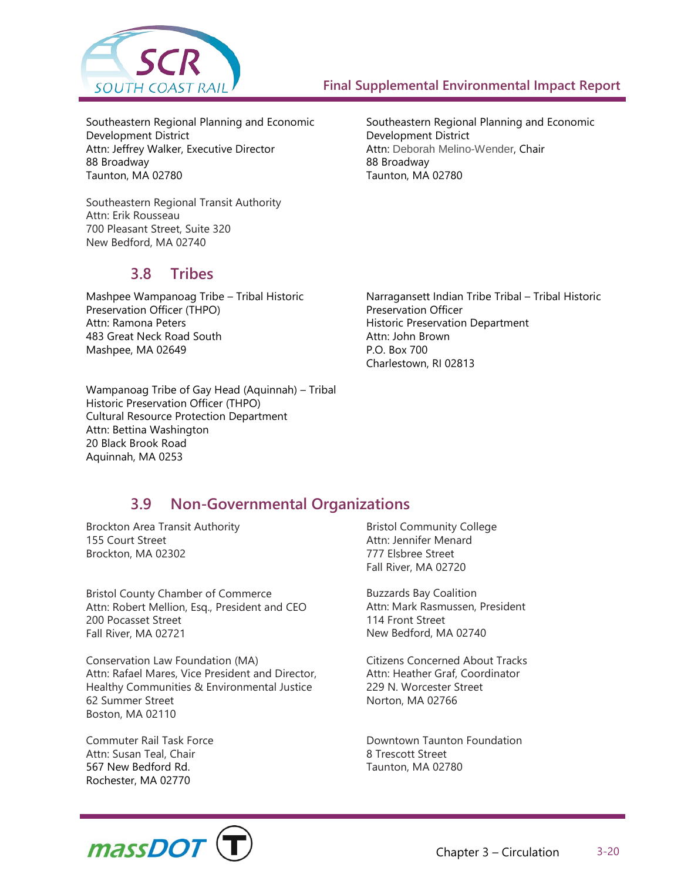

Attn: Deborah Melino-Wender, Chair

Development District

88 Broadway Taunton, MA 02780

Southeastern Regional Planning and Economic

Southeastern Regional Planning and Economic Development District Attn: Jeffrey Walker, Executive Director 88 Broadway Taunton, MA 02780

Southeastern Regional Transit Authority Attn: Erik Rousseau 700 Pleasant Street, Suite 320 New Bedford, MA 02740

## **3.8 Tribes**

Mashpee Wampanoag Tribe – Tribal Historic Preservation Officer (THPO) Attn: Ramona Peters 483 Great Neck Road South Mashpee, MA 02649

Narragansett Indian Tribe Tribal – Tribal Historic Preservation Officer Historic Preservation Department Attn: John Brown P.O. Box 700 Charlestown, RI 02813

Wampanoag Tribe of Gay Head (Aquinnah) – Tribal Historic Preservation Officer (THPO) Cultural Resource Protection Department Attn: Bettina Washington 20 Black Brook Road Aquinnah, MA 0253

## **3.9 Non-Governmental Organizations**

Brockton Area Transit Authority 155 Court Street Brockton, MA 02302

Bristol County Chamber of Commerce Attn: Robert Mellion, Esq., President and CEO 200 Pocasset Street Fall River, MA 02721

Conservation Law Foundation (MA) Attn: Rafael Mares, Vice President and Director, Healthy Communities & Environmental Justice 62 Summer Street Boston, MA 02110

Commuter Rail Task Force Attn: Susan Teal, Chair 567 New Bedford Rd. Rochester, MA 02770

Bristol Community College Attn: Jennifer Menard 777 Elsbree Street Fall River, MA 02720

Buzzards Bay Coalition Attn: Mark Rasmussen, President 114 Front Street New Bedford, MA 02740

Citizens Concerned About Tracks Attn: Heather Graf, Coordinator 229 N. Worcester Street Norton, MA 02766

Downtown Taunton Foundation 8 Trescott Street Taunton, MA 02780

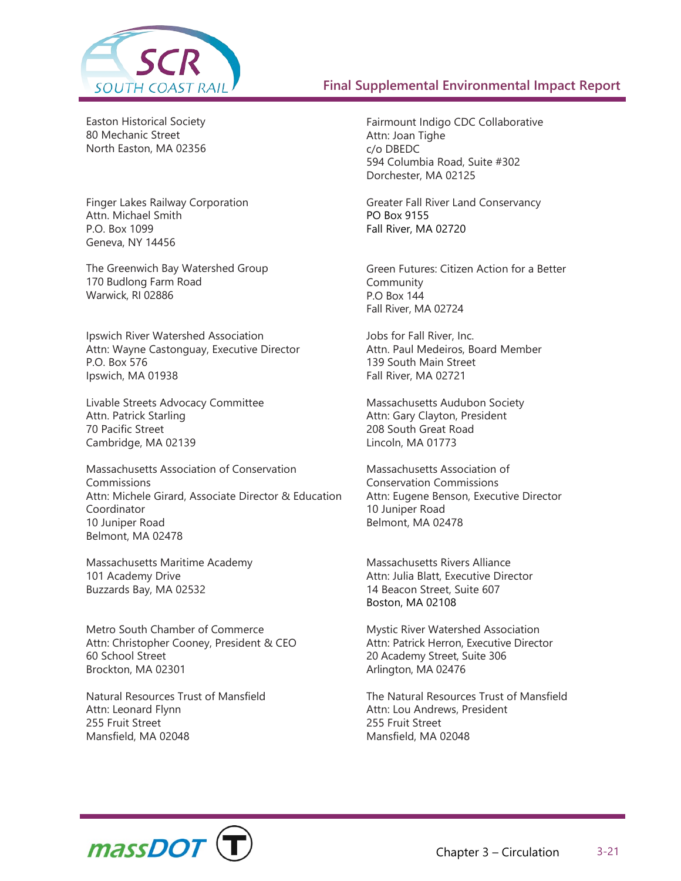

Easton Historical Society 80 Mechanic Street North Easton, MA 02356

Finger Lakes Railway Corporation Attn. Michael Smith P.O. Box 1099 Geneva, NY 14456

The Greenwich Bay Watershed Group 170 Budlong Farm Road Warwick, RI 02886

Ipswich River Watershed Association Attn: Wayne Castonguay, Executive Director P.O. Box 576 Ipswich, MA 01938

Livable Streets Advocacy Committee Attn. Patrick Starling 70 Pacific Street Cambridge, MA 02139

Massachusetts Association of Conservation Commissions Attn: Michele Girard, Associate Director & Education Coordinator 10 Juniper Road Belmont, MA 02478

Massachusetts Maritime Academy 101 Academy Drive Buzzards Bay, MA 02532

Metro South Chamber of Commerce Attn: Christopher Cooney, President & CEO 60 School Street Brockton, MA 02301

Natural Resources Trust of Mansfield Attn: Leonard Flynn 255 Fruit Street Mansfield, MA 02048

Fairmount Indigo CDC Collaborative Attn: Joan Tighe c/o DBEDC 594 Columbia Road, Suite #302 Dorchester, MA 02125

Greater Fall River Land Conservancy PO Box 9155 Fall River, MA 02720

Green Futures: Citizen Action for a Better Community P.O Box 144 Fall River, MA 02724

Jobs for Fall River, Inc. Attn. Paul Medeiros, Board Member 139 South Main Street Fall River, MA 02721

Massachusetts Audubon Society Attn: Gary Clayton, President 208 South Great Road Lincoln, MA 01773

Massachusetts Association of Conservation Commissions Attn: Eugene Benson, Executive Director 10 Juniper Road Belmont, MA 02478

Massachusetts Rivers Alliance Attn: Julia Blatt, Executive Director 14 Beacon Street, Suite 607 Boston, MA 02108

Mystic River Watershed Association Attn: Patrick Herron, Executive Director 20 Academy Street, Suite 306 Arlington, MA 02476

The Natural Resources Trust of Mansfield Attn: Lou Andrews, President 255 Fruit Street Mansfield, MA 02048

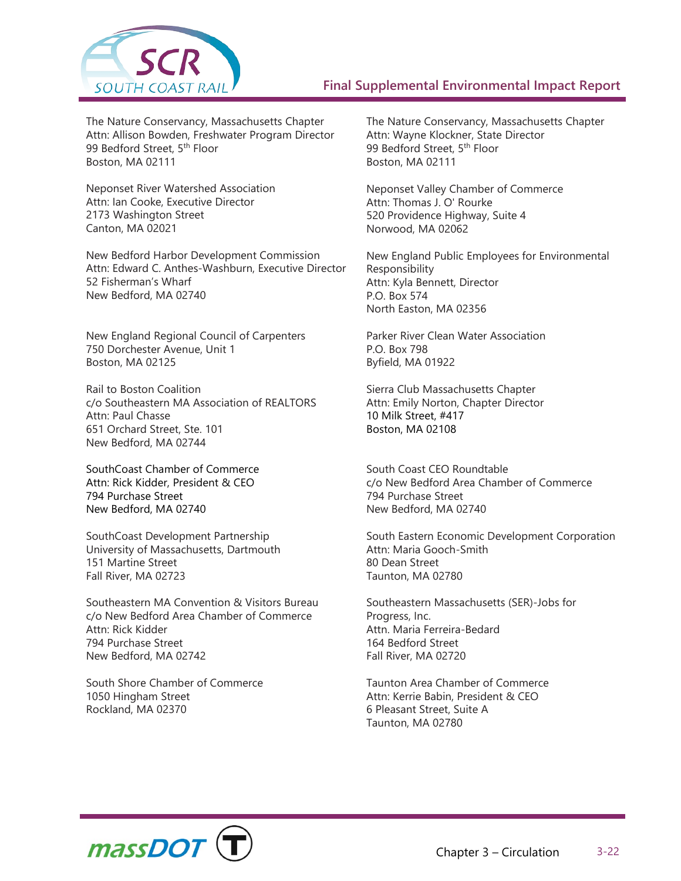

The Nature Conservancy, Massachusetts Chapter Attn: Allison Bowden, Freshwater Program Director 99 Bedford Street, 5<sup>th</sup> Floor Boston, MA 02111

Neponset River Watershed Association Attn: Ian Cooke, Executive Director 2173 Washington Street Canton, MA 02021

New Bedford Harbor Development Commission Attn: Edward C. Anthes-Washburn, Executive Director 52 Fisherman's Wharf New Bedford, MA 02740

New England Regional Council of Carpenters 750 Dorchester Avenue, Unit 1 Boston, MA 02125

Rail to Boston Coalition c/o Southeastern MA Association of REALTORS Attn: Paul Chasse 651 Orchard Street, Ste. 101 New Bedford, MA 02744

SouthCoast Chamber of Commerce Attn: Rick Kidder, President & CEO 794 Purchase Street New Bedford, MA 02740

SouthCoast Development Partnership University of Massachusetts, Dartmouth 151 Martine Street Fall River, MA 02723

Southeastern MA Convention & Visitors Bureau c/o New Bedford Area Chamber of Commerce Attn: Rick Kidder 794 Purchase Street New Bedford, MA 02742

South Shore Chamber of Commerce 1050 Hingham Street Rockland, MA 02370

The Nature Conservancy, Massachusetts Chapter Attn: Wayne Klockner, State Director 99 Bedford Street, 5<sup>th</sup> Floor Boston, MA 02111

Neponset Valley Chamber of Commerce Attn: Thomas J. O' Rourke 520 Providence Highway, Suite 4 Norwood, MA 02062

New England Public Employees for Environmental Responsibility Attn: Kyla Bennett, Director P.O. Box 574 North Easton, MA 02356

Parker River Clean Water Association P.O. Box 798 Byfield, MA 01922

Sierra Club Massachusetts Chapter Attn: Emily Norton, Chapter Director 10 Milk Street, #417 Boston, MA 02108

South Coast CEO Roundtable c/o New Bedford Area Chamber of Commerce 794 Purchase Street New Bedford, MA 02740

South Eastern Economic Development Corporation Attn: Maria Gooch-Smith 80 Dean Street Taunton, MA 02780

Southeastern Massachusetts (SER)-Jobs for Progress, Inc. Attn. Maria Ferreira-Bedard 164 Bedford Street Fall River, MA 02720

Taunton Area Chamber of Commerce Attn: Kerrie Babin, President & CEO 6 Pleasant Street, Suite A Taunton, MA 02780

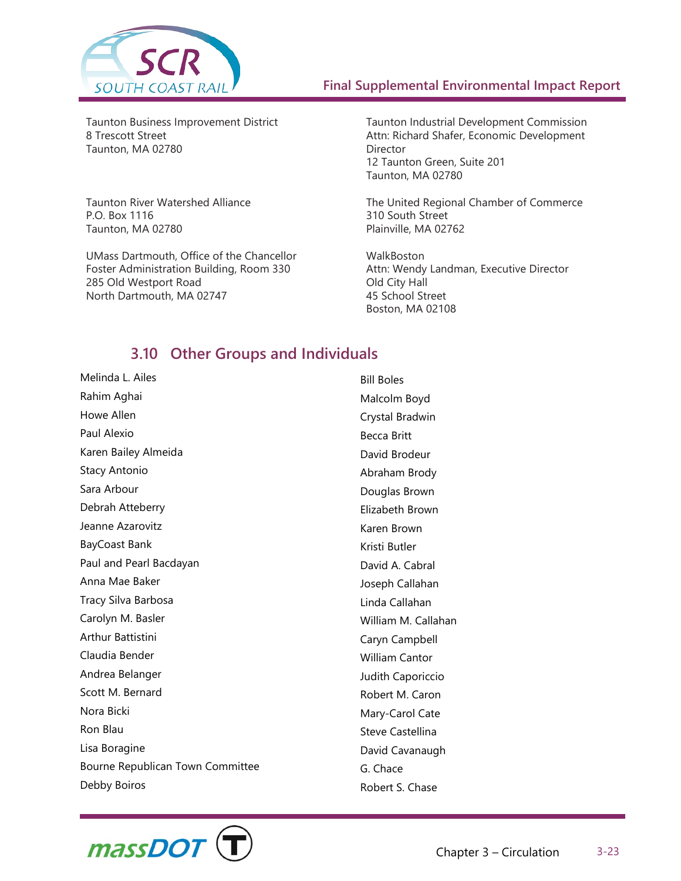

Taunton Business Improvement District 8 Trescott Street Taunton, MA 02780

Taunton River Watershed Alliance P.O. Box 1116 Taunton, MA 02780

UMass Dartmouth, Office of the Chancellor Foster Administration Building, Room 330 285 Old Westport Road North Dartmouth, MA 02747

Taunton Industrial Development Commission Attn: Richard Shafer, Economic Development Director 12 Taunton Green, Suite 201 Taunton, MA 02780

The United Regional Chamber of Commerce 310 South Street Plainville, MA 02762

**WalkBoston** Attn: Wendy Landman, Executive Director Old City Hall 45 School Street Boston, MA 02108

## **3.10 Other Groups and Individuals**

Melinda L. Ailes Rahim Aghai Howe Allen Paul Alexio Karen Bailey Almeida Stacy Antonio Sara Arbour Debrah Atteberry Jeanne Azarovitz BayCoast Bank Paul and Pearl Bacdayan Anna Mae Baker Tracy Silva Barbosa Carolyn M. Basler Arthur Battistini Claudia Bender Andrea Belanger Scott M. Bernard Nora Bicki Ron Blau Lisa Boragine Bourne Republican Town Committee Debby Boiros

Bill Boles Malcolm Boyd Crystal Bradwin Becca Britt David Brodeur Abraham Brody Douglas Brown Elizabeth Brown Karen Brown Kristi Butler David A. Cabral Joseph Callahan Linda Callahan William M. Callahan Caryn Campbell William Cantor Judith Caporiccio Robert M. Caron Mary-Carol Cate Steve Castellina David Cavanaugh G. Chace Robert S. Chase

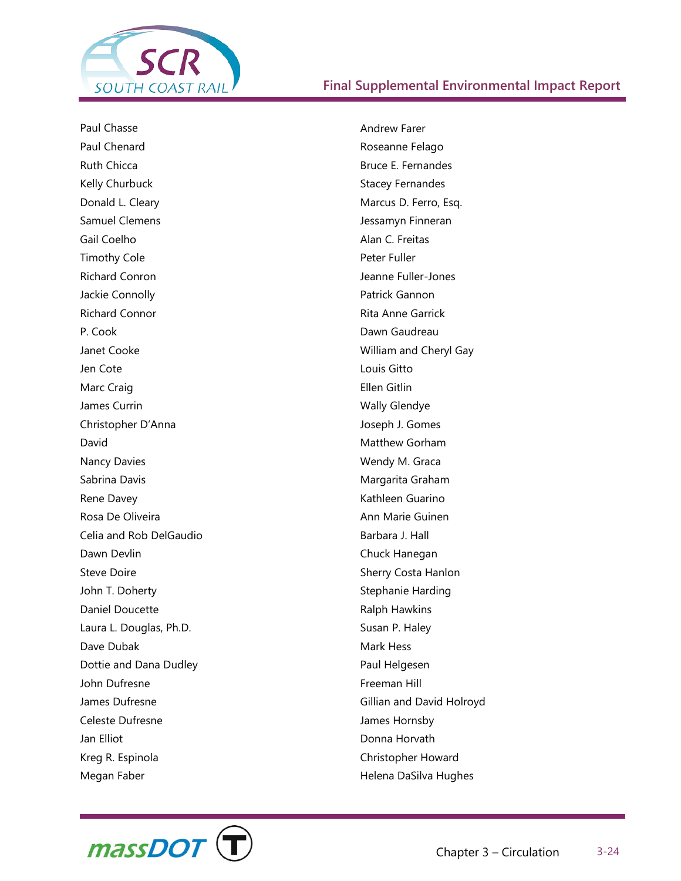

Paul Chasse Paul Chenard Ruth Chicca Kelly Churbuck Donald L. Cleary Samuel Clemens Gail Coelho Timothy Cole Richard Conron Jackie Connolly Richard Connor P. Cook Janet Cooke Jen Cote Marc Craig James Currin Christopher D'Anna David Nancy Davies Sabrina Davis Rene Davey Rosa De Oliveira Celia and Rob DelGaudio Dawn Devlin Steve Doire John T. Doherty Daniel Doucette Laura L. Douglas, Ph.D. Dave Dubak Dottie and Dana Dudley John Dufresne James Dufresne Celeste Dufresne Jan Elliot Kreg R. Espinola Megan Faber

Andrew Farer Roseanne Felago Bruce E. Fernandes Stacey Fernandes Marcus D. Ferro, Esq. Jessamyn Finneran Alan C. Freitas Peter Fuller Jeanne Fuller-Jones Patrick Gannon Rita Anne Garrick Dawn Gaudreau William and Cheryl Gay Louis Gitto Ellen Gitlin Wally Glendye Joseph J. Gomes Matthew Gorham Wendy M. Graca Margarita Graham Kathleen Guarino Ann Marie Guinen Barbara J. Hall Chuck Hanegan Sherry Costa Hanlon Stephanie Harding Ralph Hawkins Susan P. Haley Mark Hess Paul Helgesen Freeman Hill Gillian and David Holroyd James Hornsby Donna Horvath Christopher Howard Helena DaSilva Hughes

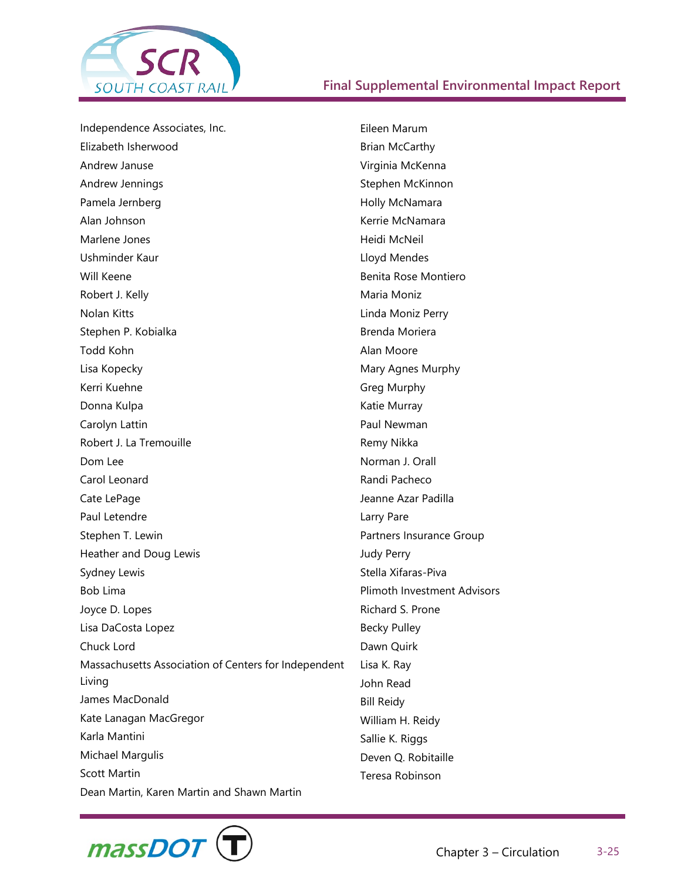

Independence Associates, Inc. Elizabeth Isherwood Andrew Januse Andrew Jennings Pamela Jernberg Alan Johnson Marlene Jones Ushminder Kaur Will Keene Robert J. Kelly Nolan Kitts Stephen P. Kobialka Todd Kohn Lisa Kopecky Kerri Kuehne Donna Kulpa Carolyn Lattin Robert J. La Tremouille Dom Lee Carol Leonard Cate LePage Paul Letendre Stephen T. Lewin Heather and Doug Lewis Sydney Lewis Bob Lima Joyce D. Lopes Lisa DaCosta Lopez Chuck Lord Massachusetts Association of Centers for Independent Living James MacDonald Kate Lanagan MacGregor Karla Mantini Michael Margulis Scott Martin Dean Martin, Karen Martin and Shawn Martin Eileen Marum Brian McCarthy Virginia McKenna Stephen McKinnon Holly McNamara Kerrie McNamara Heidi McNeil Lloyd Mendes Benita Rose Montiero Maria Moniz Linda Moniz Perry Brenda Moriera Alan Moore Mary Agnes Murphy Greg Murphy Katie Murray Paul Newman Remy Nikka Norman J. Orall Randi Pacheco Jeanne Azar Padilla Larry Pare Partners Insurance Group Judy Perry Stella Xifaras-Piva Plimoth Investment Advisors Richard S. Prone Becky Pulley Dawn Quirk Lisa K. Ray John Read Bill Reidy William H. Reidy Sallie K. Riggs Deven Q. Robitaille Teresa Robinson